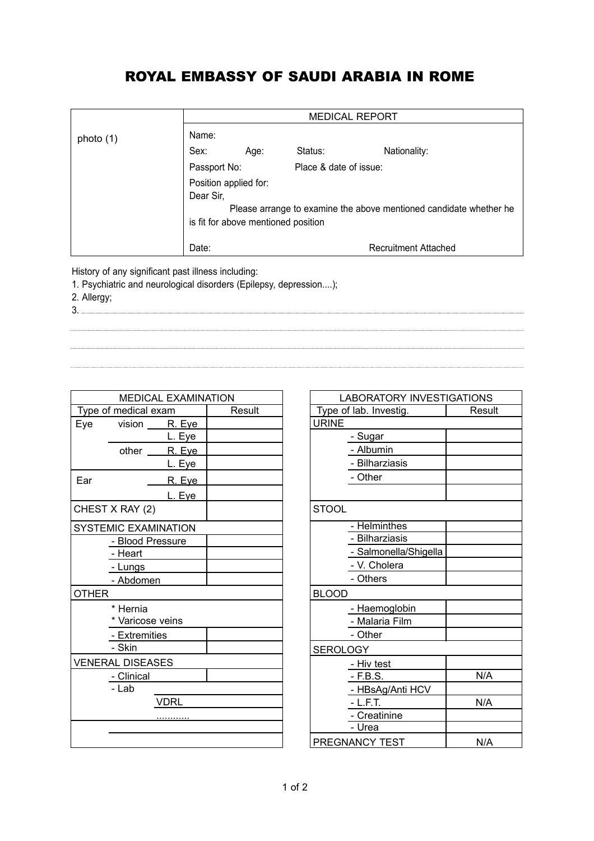## ROYAL EMBASSY OF SAUDI ARABIA IN ROME

|                                                                                                                         |                                                                                                                                                 | <b>MEDICAL REPORT</b> |                        |              |  |  |
|-------------------------------------------------------------------------------------------------------------------------|-------------------------------------------------------------------------------------------------------------------------------------------------|-----------------------|------------------------|--------------|--|--|
| photo (1)                                                                                                               | Name:                                                                                                                                           |                       |                        |              |  |  |
|                                                                                                                         | Sex:                                                                                                                                            | Age:                  | Status:                | Nationality: |  |  |
|                                                                                                                         | Passport No:                                                                                                                                    |                       | Place & date of issue: |              |  |  |
|                                                                                                                         | Position applied for:<br>Dear Sir.<br>Please arrange to examine the above mentioned candidate whether he<br>is fit for above mentioned position |                       |                        |              |  |  |
|                                                                                                                         | Date:<br><b>Recruitment Attached</b>                                                                                                            |                       |                        |              |  |  |
| History of any significant past illness including:<br>1. Psychiatric and neurological disorders (Epilepsy, depression); |                                                                                                                                                 |                       |                        |              |  |  |

1. Psychiat<br>2. Allergy;

3. 

| <b>MEDICAL EXAMINATION</b> |                             |        |  |  |
|----------------------------|-----------------------------|--------|--|--|
|                            | Type of medical exam        | Result |  |  |
| Eye                        | vision ______ R. Eye        |        |  |  |
|                            | L. Eye                      |        |  |  |
|                            | other ______ R. Eye         |        |  |  |
|                            | <u>L. Eye</u>               |        |  |  |
| Ear                        | <u>R. Eye</u>               |        |  |  |
|                            | L. Eye                      |        |  |  |
|                            | CHEST X RAY (2)             |        |  |  |
|                            | <b>SYSTEMIC EXAMINATION</b> |        |  |  |
|                            | - Blood Pressure            |        |  |  |
|                            | - Heart                     |        |  |  |
|                            | - Lungs                     |        |  |  |
|                            | - Abdomen                   |        |  |  |
| <b>OTHER</b>               |                             |        |  |  |
|                            | * Hernia                    |        |  |  |
|                            | * Varicose veins            |        |  |  |
|                            | - Extremities               |        |  |  |
|                            | - Skin                      |        |  |  |
| <b>VENERAL DISEASES</b>    |                             |        |  |  |
|                            | - Clinical                  |        |  |  |
|                            | - Lab                       |        |  |  |
|                            | <b>VDRL</b>                 |        |  |  |
|                            |                             |        |  |  |
|                            |                             |        |  |  |
|                            |                             |        |  |  |

| LABORATORY INVESTIGATIONS |  |  |
|---------------------------|--|--|
| Result                    |  |  |
|                           |  |  |
|                           |  |  |
|                           |  |  |
|                           |  |  |
|                           |  |  |
|                           |  |  |
|                           |  |  |
|                           |  |  |
|                           |  |  |
|                           |  |  |
|                           |  |  |
|                           |  |  |
|                           |  |  |
|                           |  |  |
|                           |  |  |
|                           |  |  |
|                           |  |  |
|                           |  |  |
| N/A                       |  |  |
|                           |  |  |
| N/A                       |  |  |
|                           |  |  |
|                           |  |  |
| N/A                       |  |  |
|                           |  |  |